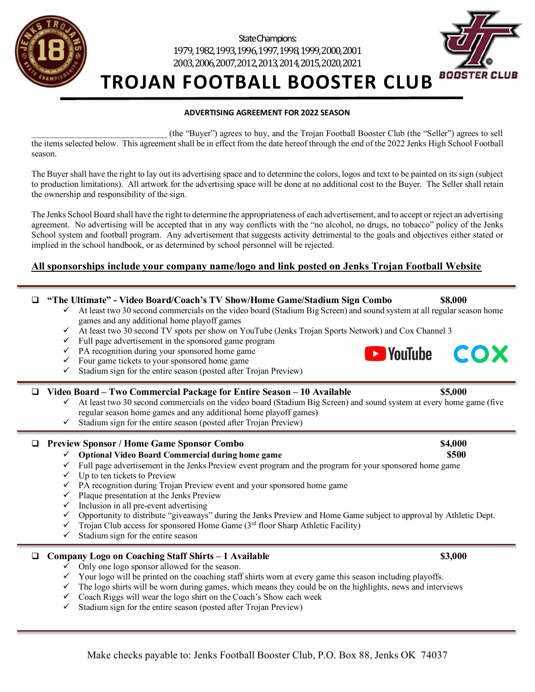

State Champions: 1979, 1982, 1993, 1996, 1997, 1998, 1999,2000, 2001 2003, 2006, 2007, 2012,2013,2014, 2015, 2020, 2021

# **TROJAN FOOTBALL BOOSTER CLUB**

#### **ADVERTISING AGREEMENT FOR 2022 SEASON**

\_\_\_\_\_\_\_\_\_\_\_\_\_\_\_\_\_\_\_\_\_\_\_\_\_\_\_\_\_\_\_ (the "Buyer") agrees to buy, and the Trojan Football Booster Club (the "Seller") agrees to sell the items selected below. This agreement shall be in effect from the date hereof through the end of the 2022 Jenks High School Football season.

The Buyer shall have the right to lay out its advertising space and to determine the colors, logos and text to be painted on its sign (subject to production limitations). All artwork for the advertising space will be done at no additional cost to the Buyer. The Seller shall retain the ownership and responsibility of the sign.

The Jenks School Board shall have the right to determine the appropriateness of each advertisement, and to accept or reject an advertising agreement. No advertising will be accepted that in any way conflicts with the "no alcohol, no drugs, no tobacco" policy of the Jenks School system and football program. Any advertisement that suggests activity detrimental to the goals and objectives either stated or implied in the school handbook, or as determined by school personnel will be rejected.

## **All sponsorships include your company name/logo and link posted on Jenks Trojan Football Website**

## **"The Ultimate" - Video Board/Coach's TV Show/Home Game/Stadium Sign Combo \$8,000**

- At least two 30 second commercials on the video board (Stadium Big Screen) and sound system at all regular season home games and any additional home playoff games
- $\checkmark$  At least two 30 second TV spots per show on YouTube (Jenks Trojan Sports Network) and Cox Channel 3
- $\checkmark$  Full page advertisement in the sponsored game program
- $\checkmark$  PA recognition during your sponsored home game
- $\checkmark$  Four game tickets to your sponsored home game
- $\checkmark$  Stadium sign for the entire season (posted after Trojan Preview)

# **Video Board – Two Commercial Package for Entire Season – 10 Available \$5,000**

- $\checkmark$  At least two 30 second commercials on the video board (Stadium Big Screen) and sound system at every home game (five regular season home games and any additional home playoff games)
- $\checkmark$  Stadium sign for the entire season (posted after Trojan Preview)

## **Preview Sponsor / Home Game Sponsor Combo \$4,000**

- **Optional Video Board Commercial during home game \$500**
- $\checkmark$  Full page advertisement in the Jenks Preview event program and the program for your sponsored home game
- $\checkmark$  Up to ten tickets to Preview
- $\checkmark$  PA recognition during Trojan Preview event and your sponsored home game
- $\checkmark$  Plaque presentation at the Jenks Preview
- $\checkmark$  Inclusion in all pre-event advertising
- $\checkmark$  Opportunity to distribute "giveaways" during the Jenks Preview and Home Game subject to approval by Athletic Dept.
- $\checkmark$  Trojan Club access for sponsored Home Game (3<sup>rd</sup> floor Sharp Athletic Facility)
- Stadium sign for the entire season

#### i **Company Logo on Coaching Staff Shirts – 1 Available \$3,000**

- $\checkmark$  Only one logo sponsor allowed for the season.
- $\checkmark$  Your logo will be printed on the coaching staff shirts worn at every game this season including playoffs.
- $\checkmark$  The logo shirts will be worn during games, which means they could be on the highlights, news and interviews
- $\checkmark$  Coach Riggs will wear the logo shirt on the Coach's Show each week
- Stadium sign for the entire season (posted after Trojan Preview)





| ふふりりい |  |
|-------|--|
|       |  |